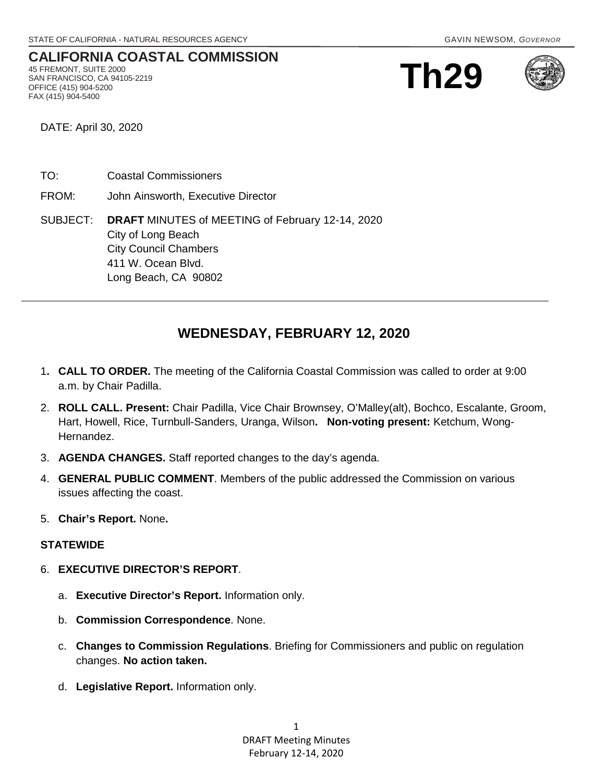#### **CALIFORNIA COASTAL COMMISSION** 45 FREMONT, SUITE 2000 SAN FRANCISCO, CA 94105-2219 OFFICE (415) 904-5200

**Th29**



DATE: April 30, 2020

FAX (415) 904-5400

- TO: Coastal Commissioners
- FROM: John Ainsworth, Executive Director

# SUBJECT: **DRAFT** MINUTES of MEETING of February 12-14, 2020 City of Long Beach City Council Chambers 411 W. Ocean Blvd. Long Beach, CA 90802

# **WEDNESDAY, FEBRUARY 12, 2020**

- 1**. CALL TO ORDER.** The meeting of the California Coastal Commission was called to order at 9:00 a.m. by Chair Padilla.
- 2. **ROLL CALL. Present:** Chair Padilla, Vice Chair Brownsey, O'Malley(alt), Bochco, Escalante, Groom, Hart, Howell, Rice, Turnbull-Sanders, Uranga, Wilson**. Non-voting present:** Ketchum, Wong-Hernandez.
- 3. **AGENDA CHANGES.** Staff reported changes to the day's agenda.
- 4. **GENERAL PUBLIC COMMENT**. Members of the public addressed the Commission on various issues affecting the coast.
- 5. **Chair's Report.** None**.**

#### **STATEWIDE**

- 6. **EXECUTIVE DIRECTOR'S REPORT**.
	- a. **Executive Director's Report.** Information only.
	- b. **Commission Correspondence**. None.
	- c. **Changes to Commission Regulations**. Briefing for Commissioners and public on regulation changes. **No action taken.**
	- d. **Legislative Report.** Information only.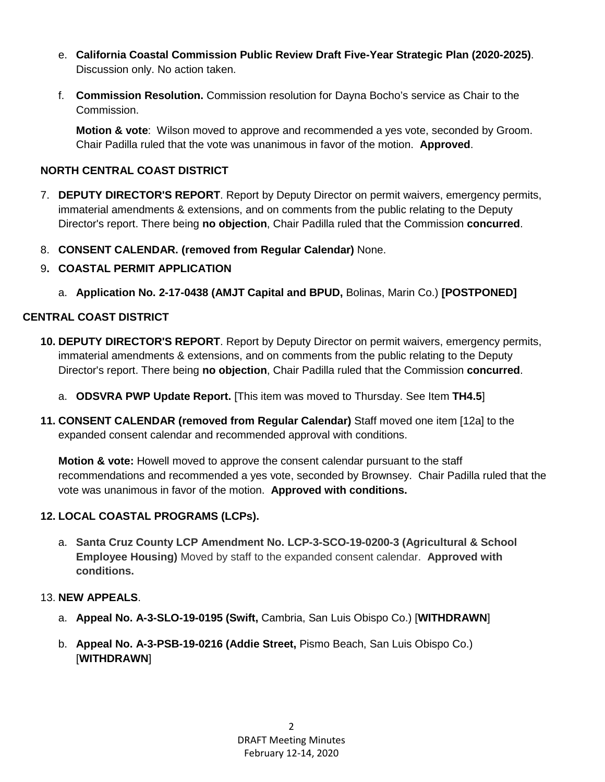- e. **California Coastal Commission Public Review Draft Five-Year Strategic Plan (2020-2025)**. Discussion only. No action taken.
- f. **Commission Resolution.** Commission resolution for Dayna Bocho's service as Chair to the Commission.

**Motion & vote**: Wilson moved to approve and recommended a yes vote, seconded by Groom. Chair Padilla ruled that the vote was unanimous in favor of the motion. **Approved**.

# **NORTH CENTRAL COAST DISTRICT**

- 7. **DEPUTY DIRECTOR'S REPORT**. Report by Deputy Director on permit waivers, emergency permits, immaterial amendments & extensions, and on comments from the public relating to the Deputy Director's report. There being **no objection**, Chair Padilla ruled that the Commission **concurred**.
- 8. **CONSENT CALENDAR. (removed from Regular Calendar)** None.
- 9**. COASTAL PERMIT APPLICATION**
	- a. **Application No. 2-17-0438 (AMJT Capital and BPUD,** Bolinas, Marin Co.) **[POSTPONED]**

# **CENTRAL COAST DISTRICT**

- **10. DEPUTY DIRECTOR'S REPORT**. Report by Deputy Director on permit waivers, emergency permits, immaterial amendments & extensions, and on comments from the public relating to the Deputy Director's report. There being **no objection**, Chair Padilla ruled that the Commission **concurred**.
	- a. **ODSVRA PWP Update Report.** [This item was moved to Thursday. See Item **TH4.5**]
- **11. CONSENT CALENDAR (removed from Regular Calendar)** Staff moved one item [12a] to the expanded consent calendar and recommended approval with conditions.

**Motion & vote:** Howell moved to approve the consent calendar pursuant to the staff recommendations and recommended a yes vote, seconded by Brownsey. Chair Padilla ruled that the vote was unanimous in favor of the motion. **Approved with conditions.**

# **12. LOCAL COASTAL PROGRAMS (LCPs).**

a. **Santa Cruz County LCP Amendment No. LCP-3-SCO-19-0200-3 (Agricultural & School Employee Housing)** Moved by staff to the expanded consent calendar. **Approved with conditions.**

# 13. **NEW APPEALS**.

- a. **Appeal No. A-3-SLO-19-0195 (Swift,** Cambria, San Luis Obispo Co.) [**WITHDRAWN**]
- b. **Appeal No. A-3-PSB-19-0216 (Addie Street,** Pismo Beach, San Luis Obispo Co.) [**WITHDRAWN**]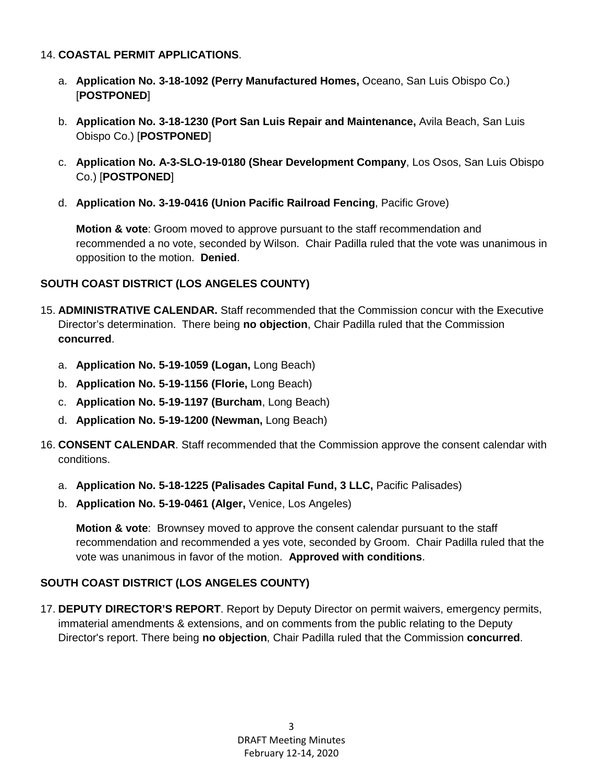### 14. **COASTAL PERMIT APPLICATIONS**.

- a. **Application No. 3-18-1092 (Perry Manufactured Homes,** Oceano, San Luis Obispo Co.) [**POSTPONED**]
- b. **Application No. 3-18-1230 (Port San Luis Repair and Maintenance,** Avila Beach, San Luis Obispo Co.) [**POSTPONED**]
- c. **Application No. A-3-SLO-19-0180 (Shear Development Company**, Los Osos, San Luis Obispo Co.) [**POSTPONED**]
- d. **Application No. 3-19-0416 (Union Pacific Railroad Fencing**, Pacific Grove)

**Motion & vote**: Groom moved to approve pursuant to the staff recommendation and recommended a no vote, seconded by Wilson. Chair Padilla ruled that the vote was unanimous in opposition to the motion. **Denied**.

### **SOUTH COAST DISTRICT (LOS ANGELES COUNTY)**

- 15. **ADMINISTRATIVE CALENDAR.** Staff recommended that the Commission concur with the Executive Director's determination. There being **no objection**, Chair Padilla ruled that the Commission **concurred**.
	- a. **Application No. 5-19-1059 (Logan,** Long Beach)
	- b. **Application No. 5-19-1156 (Florie,** Long Beach)
	- c. **Application No. 5-19-1197 (Burcham**, Long Beach)
	- d. **Application No. 5-19-1200 (Newman,** Long Beach)
- 16. **CONSENT CALENDAR**. Staff recommended that the Commission approve the consent calendar with conditions.
	- a. **Application No. 5-18-1225 (Palisades Capital Fund, 3 LLC,** Pacific Palisades)
	- b. **Application No. 5-19-0461 (Alger,** Venice, Los Angeles)

**Motion & vote**: Brownsey moved to approve the consent calendar pursuant to the staff recommendation and recommended a yes vote, seconded by Groom. Chair Padilla ruled that the vote was unanimous in favor of the motion. **Approved with conditions**.

# **SOUTH COAST DISTRICT (LOS ANGELES COUNTY)**

17. **DEPUTY DIRECTOR'S REPORT**. Report by Deputy Director on permit waivers, emergency permits, immaterial amendments & extensions, and on comments from the public relating to the Deputy Director's report. There being **no objection**, Chair Padilla ruled that the Commission **concurred**.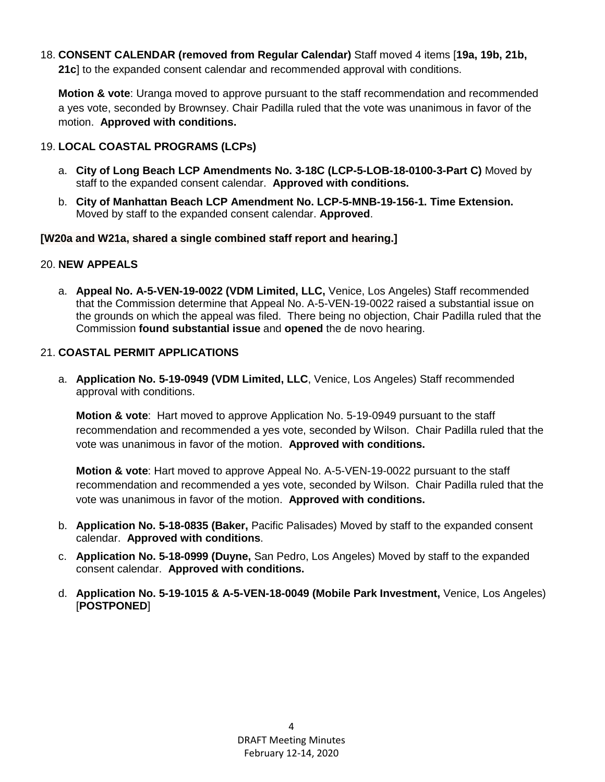18. **CONSENT CALENDAR (removed from Regular Calendar)** Staff moved 4 items [**19a, 19b, 21b, 21c**] to the expanded consent calendar and recommended approval with conditions.

**Motion & vote**: Uranga moved to approve pursuant to the staff recommendation and recommended a yes vote, seconded by Brownsey. Chair Padilla ruled that the vote was unanimous in favor of the motion. **Approved with conditions.**

### 19. **LOCAL COASTAL PROGRAMS (LCPs)**

- a. **City of Long Beach LCP Amendments No. 3-18C (LCP-5-LOB-18-0100-3-Part C)** Moved by staff to the expanded consent calendar. **Approved with conditions.**
- b. **City of Manhattan Beach LCP Amendment No. LCP-5-MNB-19-156-1. Time Extension.**  Moved by staff to the expanded consent calendar. **Approved**.

### **[W20a and W21a, shared a single combined staff report and hearing.]**

### 20. **NEW APPEALS**

a. **Appeal No. A-5-VEN-19-0022 (VDM Limited, LLC,** Venice, Los Angeles) Staff recommended that the Commission determine that Appeal No. A-5-VEN-19-0022 raised a substantial issue on the grounds on which the appeal was filed. There being no objection, Chair Padilla ruled that the Commission **found substantial issue** and **opened** the de novo hearing.

### 21. **COASTAL PERMIT APPLICATIONS**

a. **Application No. 5-19-0949 (VDM Limited, LLC**, Venice, Los Angeles) Staff recommended approval with conditions.

**Motion & vote**: Hart moved to approve Application No. 5-19-0949 pursuant to the staff recommendation and recommended a yes vote, seconded by Wilson. Chair Padilla ruled that the vote was unanimous in favor of the motion. **Approved with conditions.**

**Motion & vote**: Hart moved to approve Appeal No. A-5-VEN-19-0022 pursuant to the staff recommendation and recommended a yes vote, seconded by Wilson. Chair Padilla ruled that the vote was unanimous in favor of the motion. **Approved with conditions.**

- b. **Application No. 5-18-0835 (Baker,** Pacific Palisades) Moved by staff to the expanded consent calendar. **Approved with conditions**.
- c. **Application No. 5-18-0999 (Duyne,** San Pedro, Los Angeles) Moved by staff to the expanded consent calendar. **Approved with conditions.**
- d. **Application No. 5-19-1015 & A-5-VEN-18-0049 (Mobile Park Investment,** Venice, Los Angeles) [**POSTPONED**]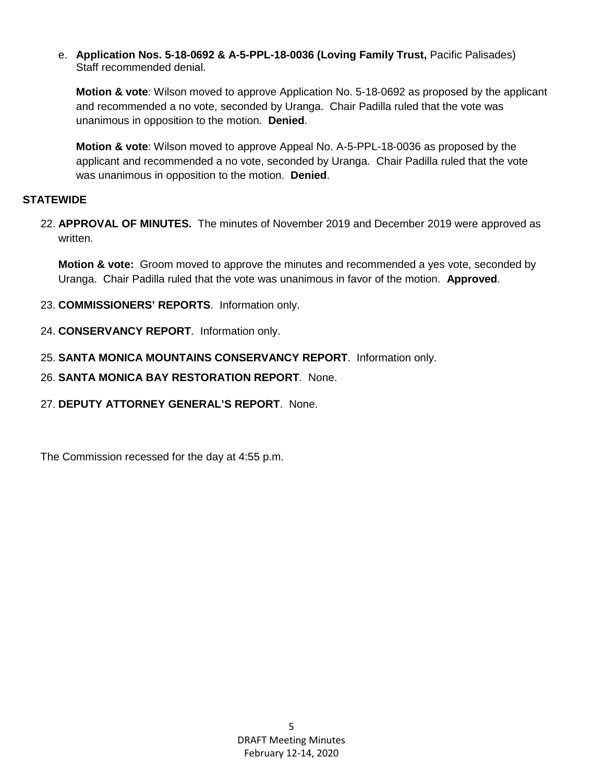e. **Application Nos. 5-18-0692 & A-5-PPL-18-0036 (Loving Family Trust,** Pacific Palisades) Staff recommended denial.

**Motion & vote**: Wilson moved to approve Application No. 5-18-0692 as proposed by the applicant and recommended a no vote, seconded by Uranga. Chair Padilla ruled that the vote was unanimous in opposition to the motion. **Denied**.

**Motion & vote**: Wilson moved to approve Appeal No. A-5-PPL-18-0036 as proposed by the applicant and recommended a no vote, seconded by Uranga. Chair Padilla ruled that the vote was unanimous in opposition to the motion. **Denied**.

### **STATEWIDE**

22. **APPROVAL OF MINUTES.** The minutes of November 2019 and December 2019 were approved as written.

**Motion & vote:** Groom moved to approve the minutes and recommended a yes vote, seconded by Uranga. Chair Padilla ruled that the vote was unanimous in favor of the motion. **Approved**.

- 23. **COMMISSIONERS' REPORTS**. Information only.
- 24. **CONSERVANCY REPORT**. Information only.
- 25. **SANTA MONICA MOUNTAINS CONSERVANCY REPORT**. Information only.
- 26. **SANTA MONICA BAY RESTORATION REPORT**. None.
- 27. **DEPUTY ATTORNEY GENERAL'S REPORT**. None.

The Commission recessed for the day at 4:55 p.m.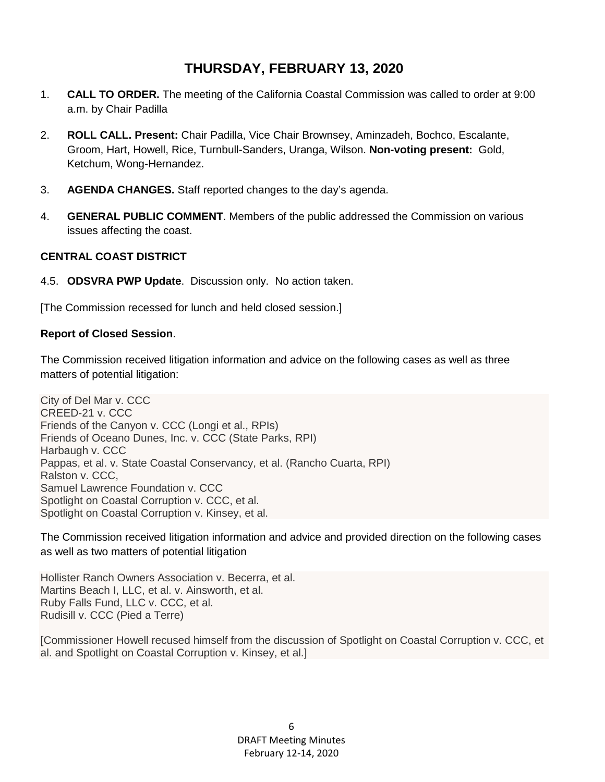# **THURSDAY, FEBRUARY 13, 2020**

- 1. **CALL TO ORDER.** The meeting of the California Coastal Commission was called to order at 9:00 a.m. by Chair Padilla
- 2. **ROLL CALL. Present:** Chair Padilla, Vice Chair Brownsey, Aminzadeh, Bochco, Escalante, Groom, Hart, Howell, Rice, Turnbull-Sanders, Uranga, Wilson. **Non-voting present:** Gold, Ketchum, Wong-Hernandez.
- 3. **AGENDA CHANGES.** Staff reported changes to the day's agenda.
- 4. **GENERAL PUBLIC COMMENT**. Members of the public addressed the Commission on various issues affecting the coast.

### **CENTRAL COAST DISTRICT**

4.5. **ODSVRA PWP Update**. Discussion only. No action taken.

[The Commission recessed for lunch and held closed session.]

#### **Report of Closed Session**.

The Commission received litigation information and advice on the following cases as well as three matters of potential litigation:

City of Del Mar v. CCC CREED-21 v. CCC Friends of the Canyon v. CCC (Longi et al., RPIs) Friends of Oceano Dunes, Inc. v. CCC (State Parks, RPI) Harbaugh v. CCC Pappas, et al. v. State Coastal Conservancy, et al. (Rancho Cuarta, RPI) Ralston v. CCC, Samuel Lawrence Foundation v. CCC Spotlight on Coastal Corruption v. CCC, et al. Spotlight on Coastal Corruption v. Kinsey, et al.

The Commission received litigation information and advice and provided direction on the following cases as well as two matters of potential litigation

Hollister Ranch Owners Association v. Becerra, et al. Martins Beach I, LLC, et al. v. Ainsworth, et al. Ruby Falls Fund, LLC v. CCC, et al. Rudisill v. CCC (Pied a Terre)

[Commissioner Howell recused himself from the discussion of Spotlight on Coastal Corruption v. CCC, et al. and Spotlight on Coastal Corruption v. Kinsey, et al.]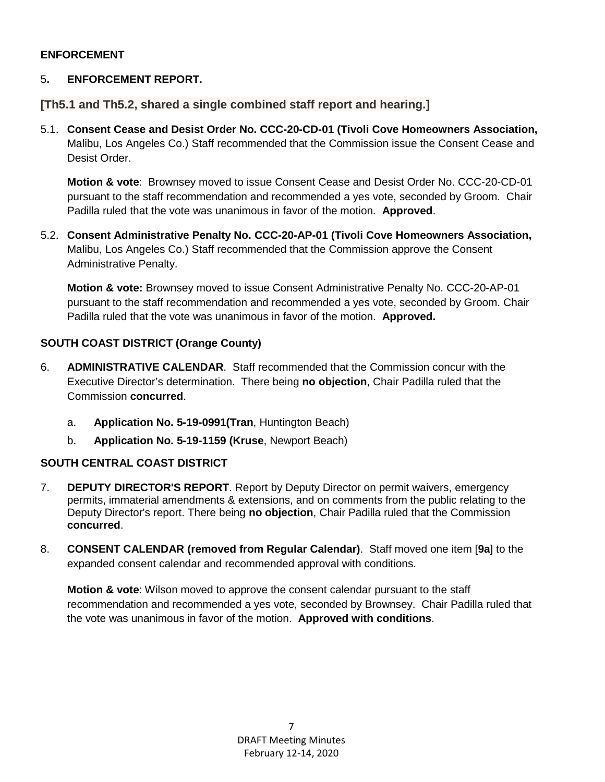#### **ENFORCEMENT**

## 5**. ENFORCEMENT REPORT.**

**[Th5.1 and Th5.2, shared a single combined staff report and hearing.]**

5.1. **Consent Cease and Desist Order No. CCC-20-CD-01 (Tivoli Cove Homeowners Association,**  Malibu, Los Angeles Co.) Staff recommended that the Commission issue the Consent Cease and Desist Order.

**Motion & vote**: Brownsey moved to issue Consent Cease and Desist Order No. CCC-20-CD-01 pursuant to the staff recommendation and recommended a yes vote, seconded by Groom. Chair Padilla ruled that the vote was unanimous in favor of the motion. **Approved**.

5.2. **Consent Administrative Penalty No. CCC-20-AP-01 (Tivoli Cove Homeowners Association,** Malibu, Los Angeles Co.) Staff recommended that the Commission approve the Consent Administrative Penalty.

**Motion & vote:** Brownsey moved to issue Consent Administrative Penalty No. CCC-20-AP-01 pursuant to the staff recommendation and recommended a yes vote, seconded by Groom. Chair Padilla ruled that the vote was unanimous in favor of the motion. **Approved.**

### **SOUTH COAST DISTRICT (Orange County)**

- 6. **ADMINISTRATIVE CALENDAR**. Staff recommended that the Commission concur with the Executive Director's determination. There being **no objection**, Chair Padilla ruled that the Commission **concurred**.
	- a. **Application No. 5-19-0991(Tran**, Huntington Beach)
	- b. **Application No. 5-19-1159 (Kruse**, Newport Beach)

# **SOUTH CENTRAL COAST DISTRICT**

- 7. **DEPUTY DIRECTOR'S REPORT**. Report by Deputy Director on permit waivers, emergency permits, immaterial amendments & extensions, and on comments from the public relating to the Deputy Director's report. There being **no objection**, Chair Padilla ruled that the Commission **concurred**.
- 8. **CONSENT CALENDAR (removed from Regular Calendar)**. Staff moved one item [**9a**] to the expanded consent calendar and recommended approval with conditions.

**Motion & vote**: Wilson moved to approve the consent calendar pursuant to the staff recommendation and recommended a yes vote, seconded by Brownsey. Chair Padilla ruled that the vote was unanimous in favor of the motion. **Approved with conditions**.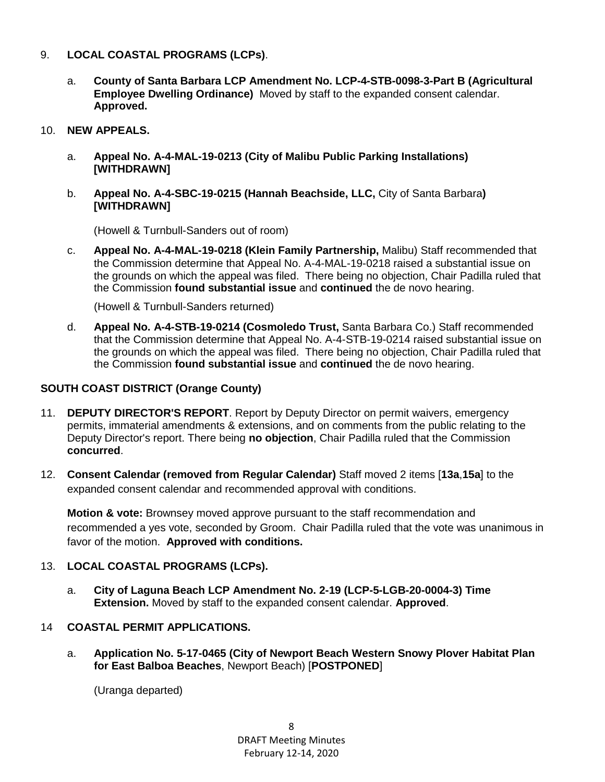#### 9. **LOCAL COASTAL PROGRAMS (LCPs)**.

- a. **County of Santa Barbara LCP Amendment No. LCP-4-STB-0098-3-Part B (Agricultural Employee Dwelling Ordinance)** Moved by staff to the expanded consent calendar. **Approved.**
- 10. **NEW APPEALS.**
	- a. **Appeal No. A-4-MAL-19-0213 (City of Malibu Public Parking Installations) [WITHDRAWN]**
	- b. **Appeal No. A-4-SBC-19-0215 (Hannah Beachside, LLC,** City of Santa Barbara**) [WITHDRAWN]**

(Howell & Turnbull-Sanders out of room)

c. **Appeal No. A-4-MAL-19-0218 (Klein Family Partnership,** Malibu) Staff recommended that the Commission determine that Appeal No. A-4-MAL-19-0218 raised a substantial issue on the grounds on which the appeal was filed. There being no objection, Chair Padilla ruled that the Commission **found substantial issue** and **continued** the de novo hearing.

(Howell & Turnbull-Sanders returned)

d. **Appeal No. A-4-STB-19-0214 (Cosmoledo Trust,** Santa Barbara Co.) Staff recommended that the Commission determine that Appeal No. A-4-STB-19-0214 raised substantial issue on the grounds on which the appeal was filed. There being no objection, Chair Padilla ruled that the Commission **found substantial issue** and **continued** the de novo hearing.

## **SOUTH COAST DISTRICT (Orange County)**

- 11. **DEPUTY DIRECTOR'S REPORT**. Report by Deputy Director on permit waivers, emergency permits, immaterial amendments & extensions, and on comments from the public relating to the Deputy Director's report. There being **no objection**, Chair Padilla ruled that the Commission **concurred**.
- 12. **Consent Calendar (removed from Regular Calendar)** Staff moved 2 items [**13a**,**15a**] to the expanded consent calendar and recommended approval with conditions.

**Motion & vote:** Brownsey moved approve pursuant to the staff recommendation and recommended a yes vote, seconded by Groom. Chair Padilla ruled that the vote was unanimous in favor of the motion. **Approved with conditions.**

#### 13. **LOCAL COASTAL PROGRAMS (LCPs).**

a. **City of Laguna Beach LCP Amendment No. 2-19 (LCP-5-LGB-20-0004-3) Time Extension.** Moved by staff to the expanded consent calendar. **Approved**.

# 14 **COASTAL PERMIT APPLICATIONS.**

a. **Application No. 5-17-0465 (City of Newport Beach Western Snowy Plover Habitat Plan for East Balboa Beaches**, Newport Beach) [**POSTPONED**]

(Uranga departed)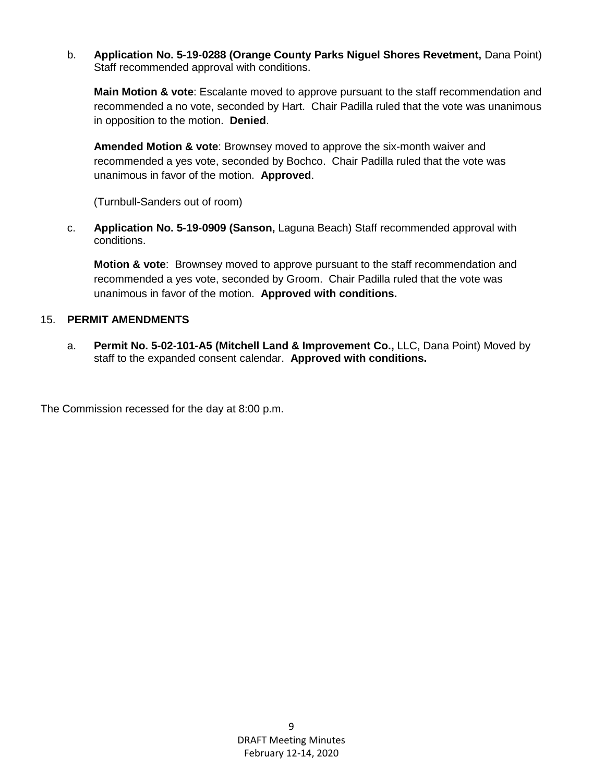b. **Application No. 5-19-0288 (Orange County Parks Niguel Shores Revetment,** Dana Point) Staff recommended approval with conditions.

**Main Motion & vote**: Escalante moved to approve pursuant to the staff recommendation and recommended a no vote, seconded by Hart. Chair Padilla ruled that the vote was unanimous in opposition to the motion. **Denied**.

**Amended Motion & vote**: Brownsey moved to approve the six-month waiver and recommended a yes vote, seconded by Bochco. Chair Padilla ruled that the vote was unanimous in favor of the motion. **Approved**.

(Turnbull-Sanders out of room)

c. **Application No. 5-19-0909 (Sanson,** Laguna Beach) Staff recommended approval with conditions.

**Motion & vote**: Brownsey moved to approve pursuant to the staff recommendation and recommended a yes vote, seconded by Groom. Chair Padilla ruled that the vote was unanimous in favor of the motion. **Approved with conditions.**

### 15. **PERMIT AMENDMENTS**

a. **Permit No. 5-02-101-A5 (Mitchell Land & Improvement Co.,** LLC, Dana Point) Moved by staff to the expanded consent calendar. **Approved with conditions.**

The Commission recessed for the day at 8:00 p.m.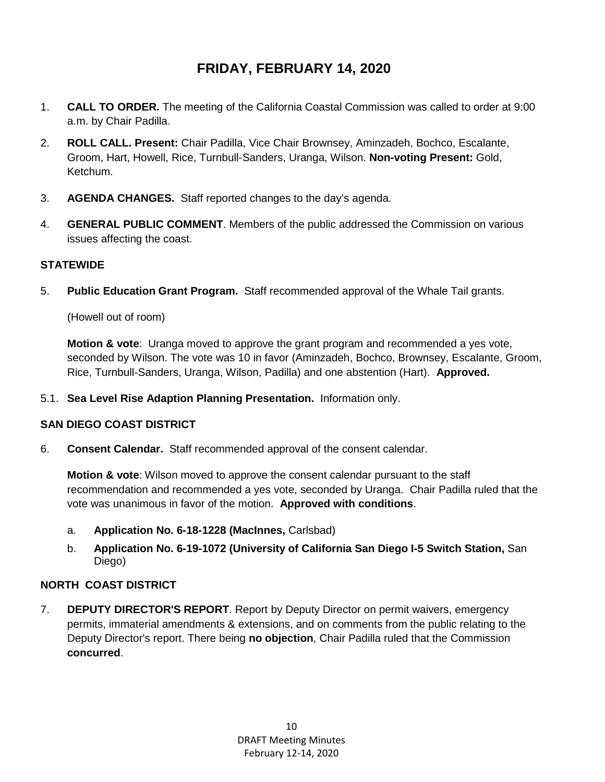# **FRIDAY, FEBRUARY 14, 2020**

- 1. **CALL TO ORDER.** The meeting of the California Coastal Commission was called to order at 9:00 a.m. by Chair Padilla.
- 2. **ROLL CALL. Present:** Chair Padilla, Vice Chair Brownsey, Aminzadeh, Bochco, Escalante, Groom, Hart, Howell, Rice, Turnbull-Sanders, Uranga, Wilson. **Non-voting Present:** Gold, Ketchum.
- 3. **AGENDA CHANGES.** Staff reported changes to the day's agenda.
- 4. **GENERAL PUBLIC COMMENT**. Members of the public addressed the Commission on various issues affecting the coast.

### **STATEWIDE**

5. **Public Education Grant Program.** Staff recommended approval of the Whale Tail grants.

(Howell out of room)

**Motion & vote**: Uranga moved to approve the grant program and recommended a yes vote, seconded by Wilson. The vote was 10 in favor (Aminzadeh, Bochco, Brownsey, Escalante, Groom, Rice, Turnbull-Sanders, Uranga, Wilson, Padilla) and one abstention (Hart). **Approved.**

5.1. **Sea Level Rise Adaption Planning Presentation.** Information only.

# **SAN DIEGO COAST DISTRICT**

6. **Consent Calendar.** Staff recommended approval of the consent calendar.

**Motion & vote**: Wilson moved to approve the consent calendar pursuant to the staff recommendation and recommended a yes vote, seconded by Uranga. Chair Padilla ruled that the vote was unanimous in favor of the motion. **Approved with conditions**.

- a. **Application No. 6-18-1228 (MacInnes,** Carlsbad)
- b. **Application No. 6-19-1072 (University of California San Diego I-5 Switch Station,** San Diego)

#### **NORTH COAST DISTRICT**

7. **DEPUTY DIRECTOR'S REPORT**. Report by Deputy Director on permit waivers, emergency permits, immaterial amendments & extensions, and on comments from the public relating to the Deputy Director's report. There being **no objection**, Chair Padilla ruled that the Commission **concurred**.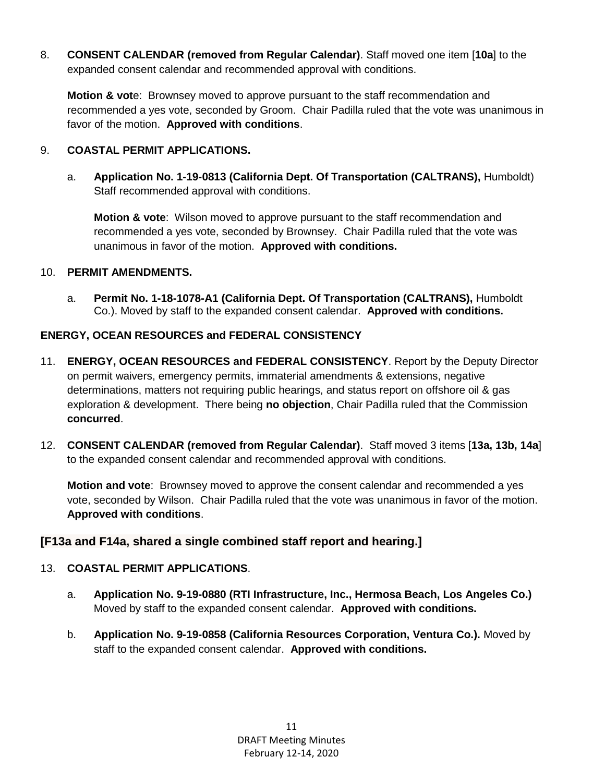8. **CONSENT CALENDAR (removed from Regular Calendar)**. Staff moved one item [**10a**] to the expanded consent calendar and recommended approval with conditions.

**Motion & vot**e: Brownsey moved to approve pursuant to the staff recommendation and recommended a yes vote, seconded by Groom. Chair Padilla ruled that the vote was unanimous in favor of the motion. **Approved with conditions**.

## 9. **COASTAL PERMIT APPLICATIONS.**

a. **Application No. 1-19-0813 (California Dept. Of Transportation (CALTRANS),** Humboldt) Staff recommended approval with conditions.

**Motion & vote**: Wilson moved to approve pursuant to the staff recommendation and recommended a yes vote, seconded by Brownsey. Chair Padilla ruled that the vote was unanimous in favor of the motion. **Approved with conditions.**

#### 10. **PERMIT AMENDMENTS.**

a. **Permit No. 1-18-1078-A1 (California Dept. Of Transportation (CALTRANS),** Humboldt Co.). Moved by staff to the expanded consent calendar. **Approved with conditions.**

# **ENERGY, OCEAN RESOURCES and FEDERAL CONSISTENCY**

- 11. **ENERGY, OCEAN RESOURCES and FEDERAL CONSISTENCY**. Report by the Deputy Director on permit waivers, emergency permits, immaterial amendments & extensions, negative determinations, matters not requiring public hearings, and status report on offshore oil & gas exploration & development. There being **no objection**, Chair Padilla ruled that the Commission **concurred**.
- 12. **CONSENT CALENDAR (removed from Regular Calendar)**. Staff moved 3 items [**13a, 13b, 14a**] to the expanded consent calendar and recommended approval with conditions.

**Motion and vote**: Brownsey moved to approve the consent calendar and recommended a yes vote, seconded by Wilson. Chair Padilla ruled that the vote was unanimous in favor of the motion. **Approved with conditions**.

# **[F13a and F14a, shared a single combined staff report and hearing.]**

# 13. **COASTAL PERMIT APPLICATIONS**.

- a. **Application No. 9-19-0880 (RTI Infrastructure, Inc., Hermosa Beach, Los Angeles Co.)** Moved by staff to the expanded consent calendar. **Approved with conditions.**
- b. **Application No. 9-19-0858 (California Resources Corporation, Ventura Co.).** Moved by staff to the expanded consent calendar. **Approved with conditions.**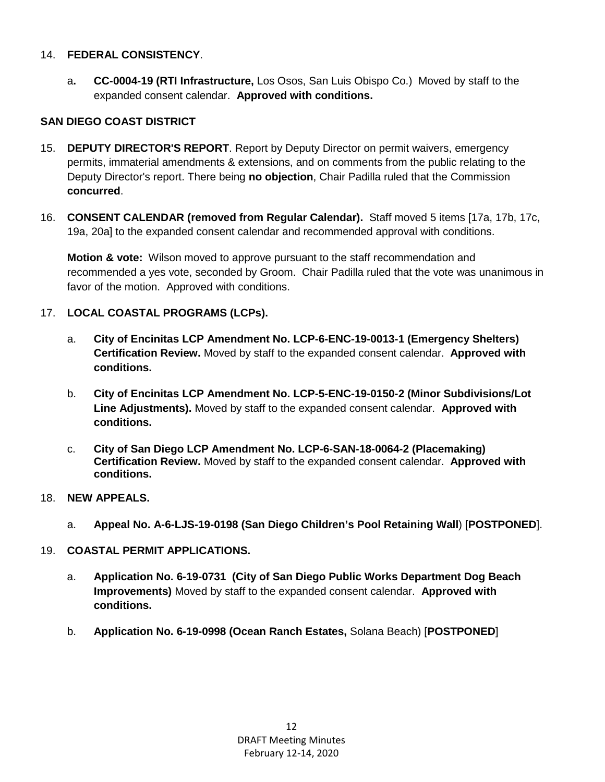#### 14. **FEDERAL CONSISTENCY**.

a**. CC-0004-19 (RTI Infrastructure,** Los Osos, San Luis Obispo Co.)Moved by staff to the expanded consent calendar. **Approved with conditions.**

# **SAN DIEGO COAST DISTRICT**

- 15. **DEPUTY DIRECTOR'S REPORT**. Report by Deputy Director on permit waivers, emergency permits, immaterial amendments & extensions, and on comments from the public relating to the Deputy Director's report. There being **no objection**, Chair Padilla ruled that the Commission **concurred**.
- 16. **CONSENT CALENDAR (removed from Regular Calendar).** Staff moved 5 items [17a, 17b, 17c, 19a, 20a] to the expanded consent calendar and recommended approval with conditions.

**Motion & vote:** Wilson moved to approve pursuant to the staff recommendation and recommended a yes vote, seconded by Groom. Chair Padilla ruled that the vote was unanimous in favor of the motion. Approved with conditions.

# 17. **LOCAL COASTAL PROGRAMS (LCPs).**

- a. **City of Encinitas LCP Amendment No. LCP-6-ENC-19-0013-1 (Emergency Shelters) Certification Review.** Moved by staff to the expanded consent calendar. **Approved with conditions.**
- b. **City of Encinitas LCP Amendment No. LCP-5-ENC-19-0150-2 (Minor Subdivisions/Lot Line Adjustments).** Moved by staff to the expanded consent calendar. **Approved with conditions.**
- c. **City of San Diego LCP Amendment No. LCP-6-SAN-18-0064-2 (Placemaking) Certification Review.** Moved by staff to the expanded consent calendar. **Approved with conditions.**

# 18. **NEW APPEALS.**

a. **Appeal No. A-6-LJS-19-0198 (San Diego Children's Pool Retaining Wall**) [**POSTPONED**].

# 19. **COASTAL PERMIT APPLICATIONS.**

- a. **Application No. 6-19-0731 (City of San Diego Public Works Department Dog Beach Improvements)** Moved by staff to the expanded consent calendar. **Approved with conditions.**
- b. **Application No. 6-19-0998 (Ocean Ranch Estates,** Solana Beach) [**POSTPONED**]